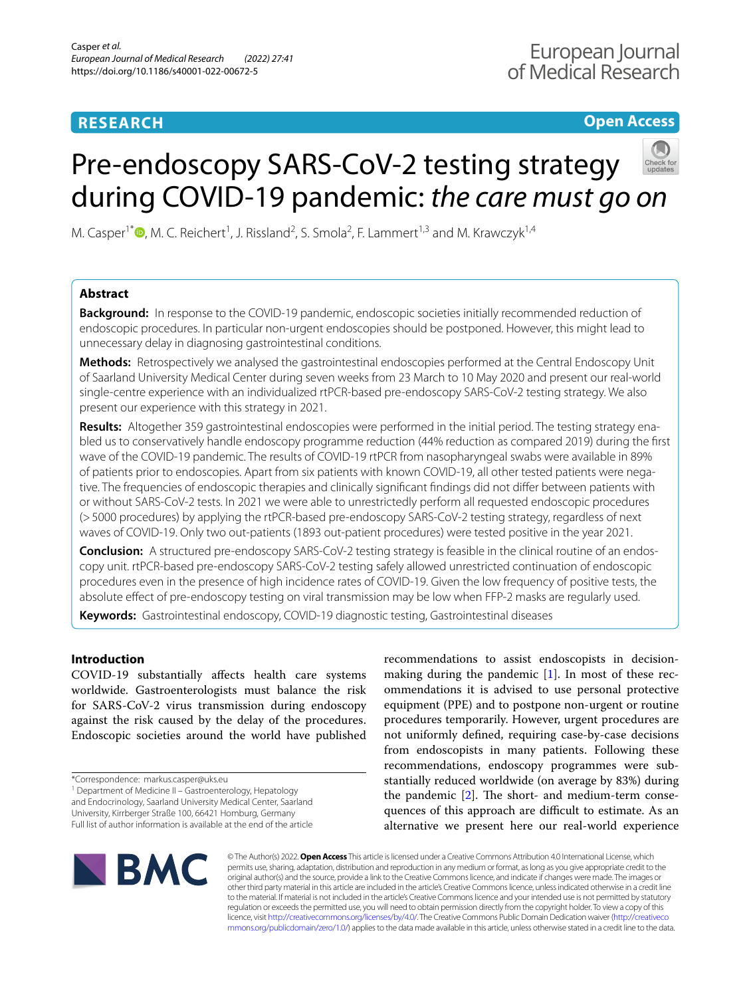## **RESEARCH**

## **Open Access**

# Pre-endoscopy SARS-CoV-2 testing strategy during COVID-19 pandemic: *the care must go on*

M. Casper<sup>1\*</sup><sup>®</sup>[,](http://orcid.org/0000-0002-1146-288X) M. C. Reichert<sup>1</sup>, J. Rissland<sup>2</sup>, S. Smola<sup>2</sup>, F. Lammert<sup>1,3</sup> and M. Krawczyk<sup>1,4</sup>

## **Abstract**

**Background:** In response to the COVID-19 pandemic, endoscopic societies initially recommended reduction of endoscopic procedures. In particular non-urgent endoscopies should be postponed. However, this might lead to unnecessary delay in diagnosing gastrointestinal conditions.

**Methods:** Retrospectively we analysed the gastrointestinal endoscopies performed at the Central Endoscopy Unit of Saarland University Medical Center during seven weeks from 23 March to 10 May 2020 and present our real-world single-centre experience with an individualized rtPCR-based pre-endoscopy SARS-CoV-2 testing strategy. We also present our experience with this strategy in 2021.

**Results:** Altogether 359 gastrointestinal endoscopies were performed in the initial period. The testing strategy enabled us to conservatively handle endoscopy programme reduction (44% reduction as compared 2019) during the frst wave of the COVID-19 pandemic. The results of COVID-19 rtPCR from nasopharyngeal swabs were available in 89% of patients prior to endoscopies. Apart from six patients with known COVID-19, all other tested patients were negative. The frequencies of endoscopic therapies and clinically signifcant fndings did not difer between patients with or without SARS-CoV-2 tests. In 2021 we were able to unrestrictedly perform all requested endoscopic procedures (>5000 procedures) by applying the rtPCR-based pre-endoscopy SARS-CoV-2 testing strategy, regardless of next waves of COVID-19. Only two out-patients (1893 out-patient procedures) were tested positive in the year 2021.

**Conclusion:** A structured pre-endoscopy SARS-CoV-2 testing strategy is feasible in the clinical routine of an endoscopy unit. rtPCR-based pre-endoscopy SARS-CoV-2 testing safely allowed unrestricted continuation of endoscopic procedures even in the presence of high incidence rates of COVID-19. Given the low frequency of positive tests, the absolute efect of pre-endoscopy testing on viral transmission may be low when FFP-2 masks are regularly used.

**Keywords:** Gastrointestinal endoscopy, COVID-19 diagnostic testing, Gastrointestinal diseases

## **Introduction**

COVID-19 substantially afects health care systems worldwide. Gastroenterologists must balance the risk for SARS-CoV-2 virus transmission during endoscopy against the risk caused by the delay of the procedures. Endoscopic societies around the world have published

<sup>1</sup> Department of Medicine II - Gastroenterology, Hepatology

and Endocrinology, Saarland University Medical Center, Saarland University, Kirrberger Straße 100, 66421 Homburg, Germany

recommendations to assist endoscopists in decisionmaking during the pandemic  $[1]$  $[1]$ . In most of these recommendations it is advised to use personal protective equipment (PPE) and to postpone non-urgent or routine procedures temporarily. However, urgent procedures are not uniformly defned, requiring case-by-case decisions from endoscopists in many patients. Following these recommendations, endoscopy programmes were substantially reduced worldwide (on average by 83%) during the pandemic  $[2]$  $[2]$ . The short- and medium-term consequences of this approach are difficult to estimate. As an alternative we present here our real-world experience



© The Author(s) 2022. **Open Access** This article is licensed under a Creative Commons Attribution 4.0 International License, which permits use, sharing, adaptation, distribution and reproduction in any medium or format, as long as you give appropriate credit to the original author(s) and the source, provide a link to the Creative Commons licence, and indicate if changes were made. The images or other third party material in this article are included in the article's Creative Commons licence, unless indicated otherwise in a credit line to the material. If material is not included in the article's Creative Commons licence and your intended use is not permitted by statutory regulation or exceeds the permitted use, you will need to obtain permission directly from the copyright holder. To view a copy of this licence, visit [http://creativecommons.org/licenses/by/4.0/.](http://creativecommons.org/licenses/by/4.0/) The Creative Commons Public Domain Dedication waiver ([http://creativeco](http://creativecommons.org/publicdomain/zero/1.0/) [mmons.org/publicdomain/zero/1.0/](http://creativecommons.org/publicdomain/zero/1.0/)) applies to the data made available in this article, unless otherwise stated in a credit line to the data.

<sup>\*</sup>Correspondence: markus.casper@uks.eu

Full list of author information is available at the end of the article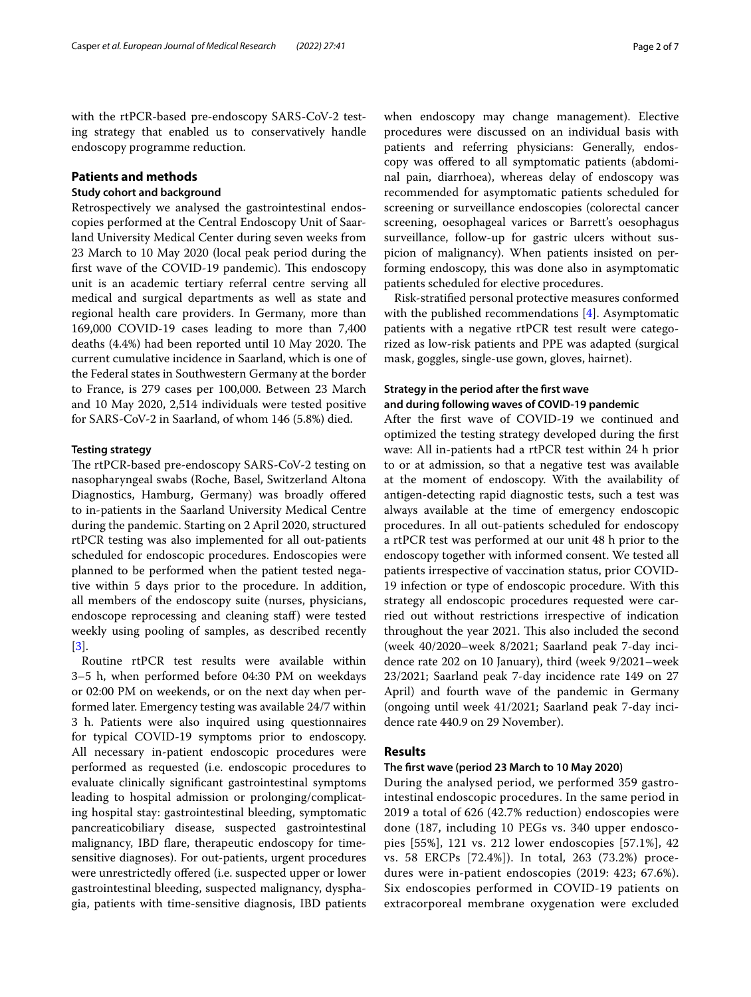with the rtPCR-based pre-endoscopy SARS-CoV-2 testing strategy that enabled us to conservatively handle endoscopy programme reduction.

### **Patients and methods**

#### **Study cohort and background**

Retrospectively we analysed the gastrointestinal endoscopies performed at the Central Endoscopy Unit of Saarland University Medical Center during seven weeks from 23 March to 10 May 2020 (local peak period during the first wave of the COVID-19 pandemic). This endoscopy unit is an academic tertiary referral centre serving all medical and surgical departments as well as state and regional health care providers. In Germany, more than 169,000 COVID-19 cases leading to more than 7,400 deaths (4.4%) had been reported until 10 May 2020. The current cumulative incidence in Saarland, which is one of the Federal states in Southwestern Germany at the border to France, is 279 cases per 100,000. Between 23 March and 10 May 2020, 2,514 individuals were tested positive for SARS-CoV-2 in Saarland, of whom 146 (5.8%) died.

#### **Testing strategy**

The rtPCR-based pre-endoscopy SARS-CoV-2 testing on nasopharyngeal swabs (Roche, Basel, Switzerland Altona Diagnostics, Hamburg, Germany) was broadly ofered to in-patients in the Saarland University Medical Centre during the pandemic. Starting on 2 April 2020, structured rtPCR testing was also implemented for all out-patients scheduled for endoscopic procedures. Endoscopies were planned to be performed when the patient tested negative within 5 days prior to the procedure. In addition, all members of the endoscopy suite (nurses, physicians, endoscope reprocessing and cleaning staf) were tested weekly using pooling of samples, as described recently [[3\]](#page-5-2).

Routine rtPCR test results were available within 3–5 h, when performed before 04:30 PM on weekdays or 02:00 PM on weekends, or on the next day when performed later. Emergency testing was available 24/7 within 3 h. Patients were also inquired using questionnaires for typical COVID-19 symptoms prior to endoscopy. All necessary in-patient endoscopic procedures were performed as requested (i.e. endoscopic procedures to evaluate clinically signifcant gastrointestinal symptoms leading to hospital admission or prolonging/complicating hospital stay: gastrointestinal bleeding, symptomatic pancreaticobiliary disease, suspected gastrointestinal malignancy, IBD flare, therapeutic endoscopy for timesensitive diagnoses). For out-patients, urgent procedures were unrestrictedly offered (i.e. suspected upper or lower gastrointestinal bleeding, suspected malignancy, dysphagia, patients with time-sensitive diagnosis, IBD patients when endoscopy may change management). Elective procedures were discussed on an individual basis with patients and referring physicians: Generally, endoscopy was ofered to all symptomatic patients (abdominal pain, diarrhoea), whereas delay of endoscopy was recommended for asymptomatic patients scheduled for screening or surveillance endoscopies (colorectal cancer screening, oesophageal varices or Barrett's oesophagus surveillance, follow-up for gastric ulcers without suspicion of malignancy). When patients insisted on performing endoscopy, this was done also in asymptomatic patients scheduled for elective procedures.

Risk-stratifed personal protective measures conformed with the published recommendations [\[4](#page-5-3)]. Asymptomatic patients with a negative rtPCR test result were categorized as low-risk patients and PPE was adapted (surgical mask, goggles, single-use gown, gloves, hairnet).

#### **Strategy in the period after the frst wave and during following waves of COVID‑19 pandemic**

After the frst wave of COVID-19 we continued and optimized the testing strategy developed during the frst wave: All in-patients had a rtPCR test within 24 h prior to or at admission, so that a negative test was available at the moment of endoscopy. With the availability of antigen-detecting rapid diagnostic tests, such a test was always available at the time of emergency endoscopic procedures. In all out-patients scheduled for endoscopy a rtPCR test was performed at our unit 48 h prior to the endoscopy together with informed consent. We tested all patients irrespective of vaccination status, prior COVID-19 infection or type of endoscopic procedure. With this strategy all endoscopic procedures requested were carried out without restrictions irrespective of indication throughout the year 2021. This also included the second (week 40/2020–week 8/2021; Saarland peak 7-day incidence rate 202 on 10 January), third (week 9/2021–week 23/2021; Saarland peak 7-day incidence rate 149 on 27 April) and fourth wave of the pandemic in Germany (ongoing until week 41/2021; Saarland peak 7-day incidence rate 440.9 on 29 November).

### **Results**

#### **The frst wave (period 23 March to 10 May 2020)**

During the analysed period, we performed 359 gastrointestinal endoscopic procedures. In the same period in 2019 a total of 626 (42.7% reduction) endoscopies were done (187, including 10 PEGs vs. 340 upper endoscopies [55%], 121 vs. 212 lower endoscopies [57.1%], 42 vs. 58 ERCPs [72.4%]). In total, 263 (73.2%) procedures were in-patient endoscopies (2019: 423; 67.6%). Six endoscopies performed in COVID-19 patients on extracorporeal membrane oxygenation were excluded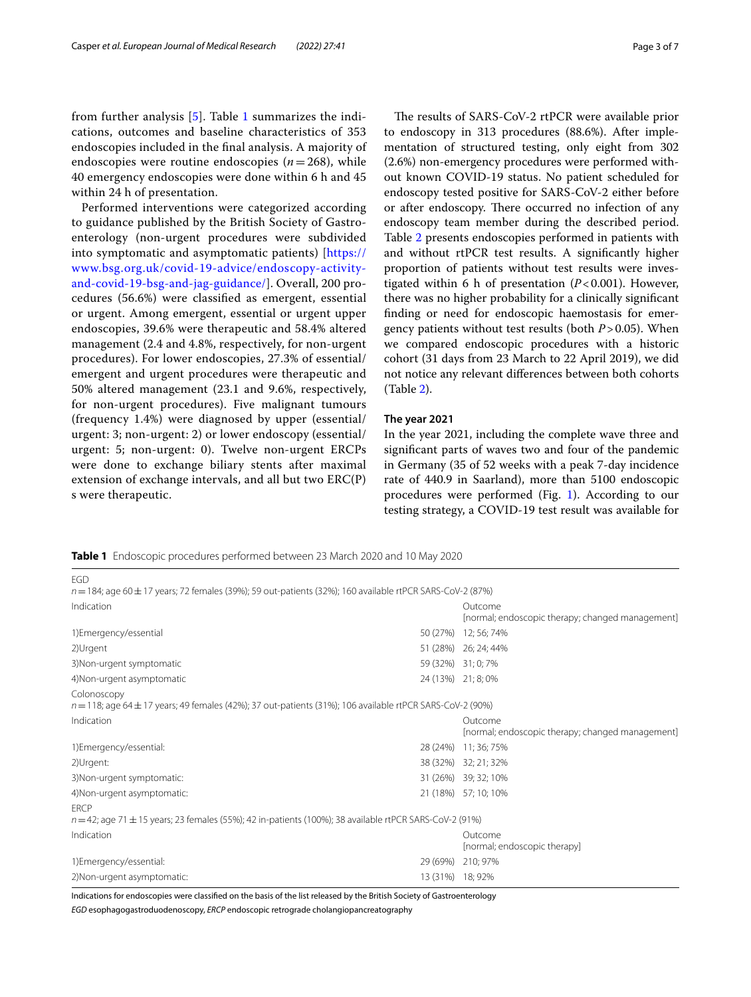from further analysis [[5\]](#page-5-4). Table [1](#page-2-0) summarizes the indications, outcomes and baseline characteristics of 353 endoscopies included in the fnal analysis. A majority of endoscopies were routine endoscopies (*n*=268), while 40 emergency endoscopies were done within 6 h and 45 within 24 h of presentation.

Performed interventions were categorized according to guidance published by the British Society of Gastroenterology (non-urgent procedures were subdivided into symptomatic and asymptomatic patients) [\[https://](https://www.bsg.org.uk/covid-19-advice/endoscopy-activity-and-covid-19-bsg-and-jag-guidance/) [www.bsg.org.uk/covid-19-advice/endoscopy-activity](https://www.bsg.org.uk/covid-19-advice/endoscopy-activity-and-covid-19-bsg-and-jag-guidance/)[and-covid-19-bsg-and-jag-guidance/](https://www.bsg.org.uk/covid-19-advice/endoscopy-activity-and-covid-19-bsg-and-jag-guidance/)]. Overall, 200 procedures (56.6%) were classifed as emergent, essential or urgent. Among emergent, essential or urgent upper endoscopies, 39.6% were therapeutic and 58.4% altered management (2.4 and 4.8%, respectively, for non-urgent procedures). For lower endoscopies, 27.3% of essential/ emergent and urgent procedures were therapeutic and 50% altered management (23.1 and 9.6%, respectively, for non-urgent procedures). Five malignant tumours (frequency 1.4%) were diagnosed by upper (essential/ urgent: 3; non-urgent: 2) or lower endoscopy (essential/ urgent: 5; non-urgent: 0). Twelve non-urgent ERCPs were done to exchange biliary stents after maximal extension of exchange intervals, and all but two ERC(P) s were therapeutic.

EGD

The results of SARS-CoV-2 rtPCR were available prior to endoscopy in 313 procedures (88.6%). After implementation of structured testing, only eight from 302 (2.6%) non-emergency procedures were performed without known COVID-19 status. No patient scheduled for endoscopy tested positive for SARS-CoV-2 either before or after endoscopy. There occurred no infection of any endoscopy team member during the described period. Table [2](#page-3-0) presents endoscopies performed in patients with and without rtPCR test results. A signifcantly higher proportion of patients without test results were investigated within 6 h of presentation (*P*<0.001). However, there was no higher probability for a clinically signifcant fnding or need for endoscopic haemostasis for emergency patients without test results (both *P*>0.05). When we compared endoscopic procedures with a historic cohort (31 days from 23 March to 22 April 2019), we did not notice any relevant diferences between both cohorts (Table [2\)](#page-3-0).

#### **The year 2021**

In the year 2021, including the complete wave three and signifcant parts of waves two and four of the pandemic in Germany (35 of 52 weeks with a peak 7-day incidence rate of 440.9 in Saarland), more than 5100 endoscopic procedures were performed (Fig. [1\)](#page-4-0). According to our testing strategy, a COVID-19 test result was available for

<span id="page-2-0"></span>**Table 1** Endoscopic procedures performed between 23 March 2020 and 10 May 2020

| $n = 184$ ; age 60 ± 17 years; 72 females (39%); 59 out-patients (32%); 160 available rtPCR SARS-CoV-2 (87%)                    |                  |                                                             |
|---------------------------------------------------------------------------------------------------------------------------------|------------------|-------------------------------------------------------------|
| Indication                                                                                                                      |                  | Outcome<br>[normal; endoscopic therapy; changed management] |
| 1) Emergency/essential                                                                                                          | 50 (27%)         | 12; 56; 74%                                                 |
| 2) Urgent                                                                                                                       |                  | 51 (28%) 26; 24; 44%                                        |
| 3) Non-urgent symptomatic                                                                                                       |                  | 59 (32%) 31; 0; 7%                                          |
| 4) Non-urgent asymptomatic                                                                                                      |                  | 24 (13%) 21; 8; 0%                                          |
| Colonoscopy<br>$n = 118$ ; age 64 $\pm$ 17 years; 49 females (42%); 37 out-patients (31%); 106 available rtPCR SARS-CoV-2 (90%) |                  |                                                             |
| Indication                                                                                                                      |                  | Outcome<br>[normal; endoscopic therapy; changed management] |
| 1) Emergency/essential:                                                                                                         | 28 (24%)         | 11; 36; 75%                                                 |
| 2) Urgent:                                                                                                                      | 38 (32%)         | 32; 21; 32%                                                 |
| 3) Non-urgent symptomatic:                                                                                                      |                  | 31 (26%) 39; 32; 10%                                        |
| 4) Non-urgent asymptomatic:                                                                                                     |                  | 21 (18%) 57; 10; 10%                                        |
| <b>FRCP</b>                                                                                                                     |                  |                                                             |
| $n = 42$ ; age 71 $\pm$ 15 years; 23 females (55%); 42 in-patients (100%); 38 available rtPCR SARS-CoV-2 (91%)                  |                  |                                                             |
| Indication                                                                                                                      |                  | Outcome<br>[normal; endoscopic therapy]                     |
| 1) Emergency/essential:                                                                                                         | 29 (69%)         | 210; 97%                                                    |
| 2) Non-urgent asymptomatic:                                                                                                     | 13 (31%) 18; 92% |                                                             |

Indications for endoscopies were classifed on the basis of the list released by the British Society of Gastroenterology

*EGD* esophagogastroduodenoscopy, *ERCP* endoscopic retrograde cholangiopancreatography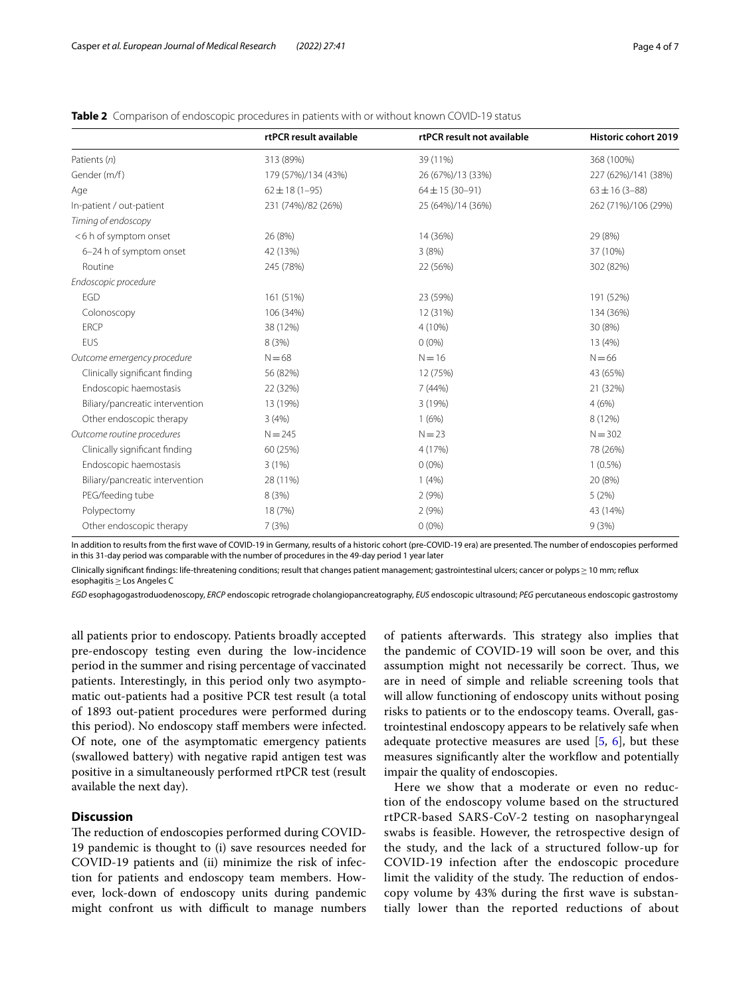|                                 | rtPCR result available | rtPCR result not available | Historic cohort 2019 |
|---------------------------------|------------------------|----------------------------|----------------------|
| Patients (n)                    | 313 (89%)              | 39 (11%)                   | 368 (100%)           |
| Gender (m/f)                    | 179 (57%)/134 (43%)    | 26 (67%)/13 (33%)          | 227 (62%)/141 (38%)  |
| Age                             | $62 \pm 18(1 - 95)$    | $64 \pm 15 (30 - 91)$      | $63 \pm 16 (3 - 88)$ |
| In-patient / out-patient        | 231 (74%)/82 (26%)     | 25 (64%)/14 (36%)          | 262 (71%)/106 (29%)  |
| Timing of endoscopy             |                        |                            |                      |
| <6 h of symptom onset           | 26 (8%)                | 14 (36%)                   | 29 (8%)              |
| 6-24 h of symptom onset         | 42 (13%)               | 3(8%)                      | 37 (10%)             |
| Routine                         | 245 (78%)              | 22 (56%)                   | 302 (82%)            |
| Endoscopic procedure            |                        |                            |                      |
| <b>EGD</b>                      | 161 (51%)              | 23 (59%)                   | 191 (52%)            |
| Colonoscopy                     | 106 (34%)              | 12 (31%)                   | 134 (36%)            |
| <b>ERCP</b>                     | 38 (12%)               | 4 (10%)                    | 30 (8%)              |
| EUS                             | 8 (3%)                 | $0(0\%)$                   | 13 (4%)              |
| Outcome emergency procedure     | $N = 68$               | $N = 16$                   | $N = 66$             |
| Clinically significant finding  | 56 (82%)               | 12 (75%)                   | 43 (65%)             |
| Endoscopic haemostasis          | 22 (32%)               | 7(44%)                     | 21 (32%)             |
| Biliary/pancreatic intervention | 13 (19%)               | 3 (19%)                    | 4(6%)                |
| Other endoscopic therapy        | 3(4%)                  | 1(6%)                      | 8 (12%)              |
| Outcome routine procedures      | $N = 245$              | $N = 23$                   | $N = 302$            |
| Clinically significant finding  | 60 (25%)               | 4 (17%)                    | 78 (26%)             |
| Endoscopic haemostasis          | 3(1%)                  | $0(0\%)$                   | $1(0.5\%)$           |
| Biliary/pancreatic intervention | 28 (11%)               | 1(4%)                      | 20 (8%)              |
| PEG/feeding tube                | 8(3%)                  | 2(9%)                      | 5(2%)                |
| Polypectomy                     | 18 (7%)                | 2(9%)                      | 43 (14%)             |
| Other endoscopic therapy        | 7(3%)                  | $0(0\%)$                   | 9(3%)                |

<span id="page-3-0"></span>**Table 2** Comparison of endoscopic procedures in patients with or without known COVID-19 status

In addition to results from the frst wave of COVID-19 in Germany, results of a historic cohort (pre-COVID-19 era) are presented. The number of endoscopies performed in this 31-day period was comparable with the number of procedures in the 49-day period 1 year later

Clinically significant findings: life-threatening conditions; result that changes patient management; gastrointestinal ulcers; cancer or polyps ≥ 10 mm; reflux esophagitis≥Los Angeles C

*EGD* esophagogastroduodenoscopy, *ERCP* endoscopic retrograde cholangiopancreatography, *EUS* endoscopic ultrasound; *PEG* percutaneous endoscopic gastrostomy

all patients prior to endoscopy. Patients broadly accepted pre-endoscopy testing even during the low-incidence period in the summer and rising percentage of vaccinated patients. Interestingly, in this period only two asymptomatic out-patients had a positive PCR test result (a total of 1893 out-patient procedures were performed during this period). No endoscopy staf members were infected. Of note, one of the asymptomatic emergency patients (swallowed battery) with negative rapid antigen test was positive in a simultaneously performed rtPCR test (result available the next day).

#### **Discussion**

The reduction of endoscopies performed during COVID-19 pandemic is thought to (i) save resources needed for COVID-19 patients and (ii) minimize the risk of infection for patients and endoscopy team members. However, lock-down of endoscopy units during pandemic might confront us with difficult to manage numbers of patients afterwards. This strategy also implies that the pandemic of COVID-19 will soon be over, and this assumption might not necessarily be correct. Thus, we are in need of simple and reliable screening tools that will allow functioning of endoscopy units without posing risks to patients or to the endoscopy teams. Overall, gastrointestinal endoscopy appears to be relatively safe when adequate protective measures are used  $[5, 6]$  $[5, 6]$  $[5, 6]$  $[5, 6]$ , but these measures significantly alter the workflow and potentially impair the quality of endoscopies.

Here we show that a moderate or even no reduction of the endoscopy volume based on the structured rtPCR-based SARS-CoV-2 testing on nasopharyngeal swabs is feasible. However, the retrospective design of the study, and the lack of a structured follow-up for COVID-19 infection after the endoscopic procedure limit the validity of the study. The reduction of endoscopy volume by 43% during the frst wave is substantially lower than the reported reductions of about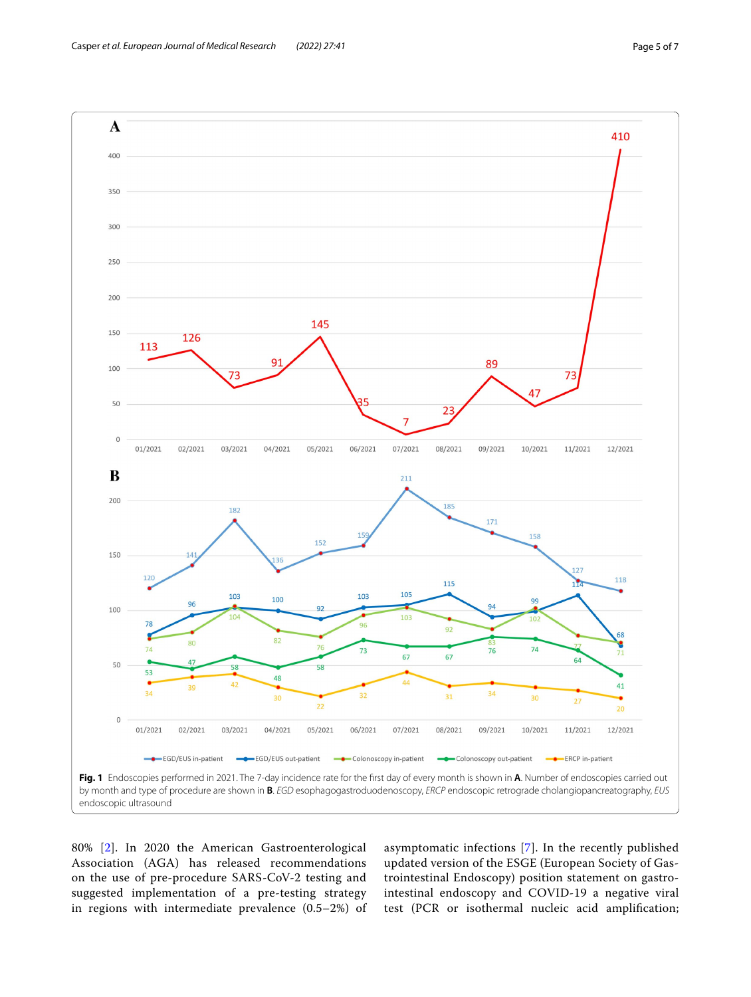

<span id="page-4-0"></span>80% [[2\]](#page-5-1). In 2020 the American Gastroenterological Association (AGA) has released recommendations on the use of pre-procedure SARS-CoV-2 testing and suggested implementation of a pre-testing strategy in regions with intermediate prevalence (0.5–2%) of asymptomatic infections [\[7](#page-5-6)]. In the recently published updated version of the ESGE (European Society of Gastrointestinal Endoscopy) position statement on gastrointestinal endoscopy and COVID-19 a negative viral test (PCR or isothermal nucleic acid amplifcation;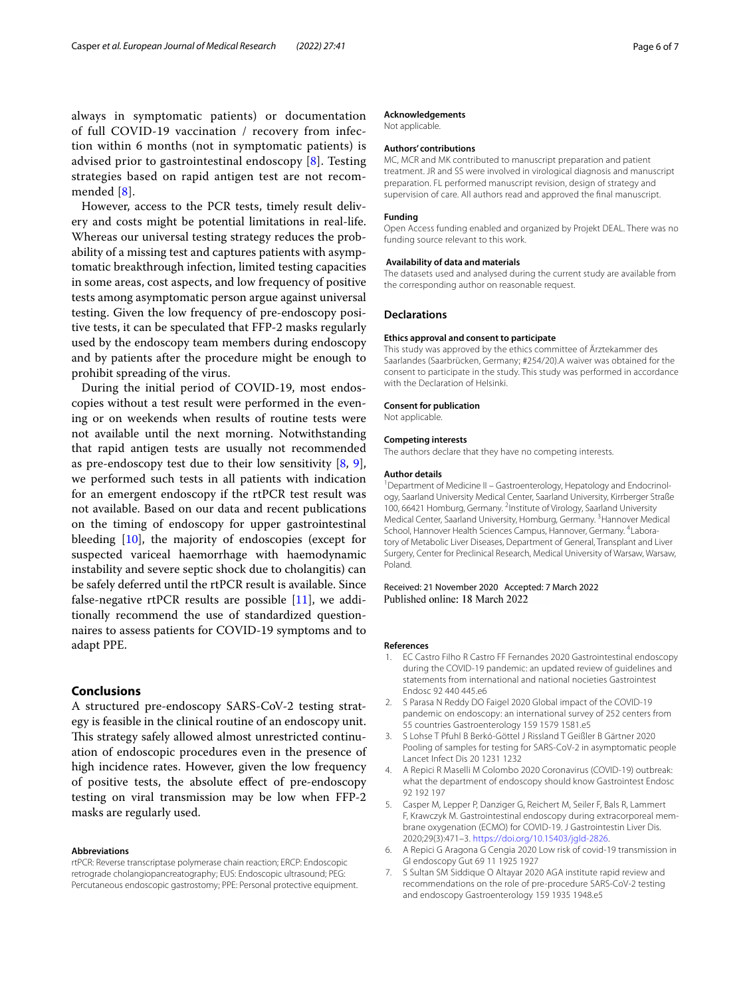always in symptomatic patients) or documentation of full COVID-19 vaccination / recovery from infection within 6 months (not in symptomatic patients) is advised prior to gastrointestinal endoscopy [\[8](#page-6-0)]. Testing strategies based on rapid antigen test are not recommended [[8\]](#page-6-0).

However, access to the PCR tests, timely result delivery and costs might be potential limitations in real-life. Whereas our universal testing strategy reduces the probability of a missing test and captures patients with asymptomatic breakthrough infection, limited testing capacities in some areas, cost aspects, and low frequency of positive tests among asymptomatic person argue against universal testing. Given the low frequency of pre-endoscopy positive tests, it can be speculated that FFP-2 masks regularly used by the endoscopy team members during endoscopy and by patients after the procedure might be enough to prohibit spreading of the virus.

During the initial period of COVID-19, most endoscopies without a test result were performed in the evening or on weekends when results of routine tests were not available until the next morning. Notwithstanding that rapid antigen tests are usually not recommended as pre-endoscopy test due to their low sensitivity  $[8, 9]$  $[8, 9]$  $[8, 9]$  $[8, 9]$  $[8, 9]$ , we performed such tests in all patients with indication for an emergent endoscopy if the rtPCR test result was not available. Based on our data and recent publications on the timing of endoscopy for upper gastrointestinal bleeding [[10](#page-6-2)], the majority of endoscopies (except for suspected variceal haemorrhage with haemodynamic instability and severe septic shock due to cholangitis) can be safely deferred until the rtPCR result is available. Since false-negative rtPCR results are possible  $[11]$  $[11]$  $[11]$ , we additionally recommend the use of standardized questionnaires to assess patients for COVID-19 symptoms and to adapt PPE.

#### **Conclusions**

A structured pre-endoscopy SARS-CoV-2 testing strategy is feasible in the clinical routine of an endoscopy unit. This strategy safely allowed almost unrestricted continuation of endoscopic procedures even in the presence of high incidence rates. However, given the low frequency of positive tests, the absolute efect of pre-endoscopy testing on viral transmission may be low when FFP-2 masks are regularly used.

#### **Abbreviations**

rtPCR: Reverse transcriptase polymerase chain reaction; ERCP: Endoscopic retrograde cholangiopancreatography; EUS: Endoscopic ultrasound; PEG: Percutaneous endoscopic gastrostomy; PPE: Personal protective equipment.

#### **Acknowledgements**

Not applicable.

#### **Authors' contributions**

MC, MCR and MK contributed to manuscript preparation and patient treatment. JR and SS were involved in virological diagnosis and manuscript preparation. FL performed manuscript revision, design of strategy and supervision of care. All authors read and approved the fnal manuscript.

#### **Funding**

Open Access funding enabled and organized by Projekt DEAL. There was no funding source relevant to this work.

#### **Availability of data and materials**

The datasets used and analysed during the current study are available from the corresponding author on reasonable request.

#### **Declarations**

#### **Ethics approval and consent to participate**

This study was approved by the ethics committee of Ärztekammer des Saarlandes (Saarbrücken, Germany; #254/20).A waiver was obtained for the consent to participate in the study. This study was performed in accordance with the Declaration of Helsinki.

#### **Consent for publication**

Not applicable.

#### **Competing interests**

The authors declare that they have no competing interests.

#### **Author details**

<sup>1</sup> Department of Medicine II - Gastroenterology, Hepatology and Endocrinology, Saarland University Medical Center, Saarland University, Kirrberger Straße 100, 66421 Homburg, Germany. <sup>2</sup>Institute of Virology, Saarland University Medical Center, Saarland University, Homburg, Germany. <sup>3</sup> Hannover Medical School, Hannover Health Sciences Campus, Hannover, Germany. <sup>4</sup>Laboratory of Metabolic Liver Diseases, Department of General, Transplant and Liver Surgery, Center for Preclinical Research, Medical University of Warsaw, Warsaw, Poland.

## Received: 21 November 2020 Accepted: 7 March 2022

#### **References**

- <span id="page-5-0"></span>1. EC Castro Filho R Castro FF Fernandes 2020 Gastrointestinal endoscopy during the COVID-19 pandemic: an updated review of guidelines and statements from international and national nocieties Gastrointest Endosc 92 440 445.e6
- <span id="page-5-1"></span>2. S Parasa N Reddy DO Faigel 2020 Global impact of the COVID-19 pandemic on endoscopy: an international survey of 252 centers from 55 countries Gastroenterology 159 1579 1581.e5
- <span id="page-5-2"></span>3. S Lohse T Pfuhl B Berkó-Göttel J Rissland T Geißler B Gärtner 2020 Pooling of samples for testing for SARS-CoV-2 in asymptomatic people Lancet Infect Dis 20 1231 1232
- <span id="page-5-3"></span>4. A Repici R Maselli M Colombo 2020 Coronavirus (COVID-19) outbreak: what the department of endoscopy should know Gastrointest Endosc 92 192 197
- <span id="page-5-4"></span>5. Casper M, Lepper P, Danziger G, Reichert M, Seiler F, Bals R, Lammert F, Krawczyk M. Gastrointestinal endoscopy during extracorporeal membrane oxygenation (ECMO) for COVID-19. J Gastrointestin Liver Dis. 2020;29(3):471–3.<https://doi.org/10.15403/jgld-2826>.
- <span id="page-5-5"></span>6. A Repici G Aragona G Cengia 2020 Low risk of covid-19 transmission in GI endoscopy Gut 69 11 1925 1927
- <span id="page-5-6"></span>7. S Sultan SM Siddique O Altayar 2020 AGA institute rapid review and recommendations on the role of pre-procedure SARS-CoV-2 testing and endoscopy Gastroenterology 159 1935 1948.e5